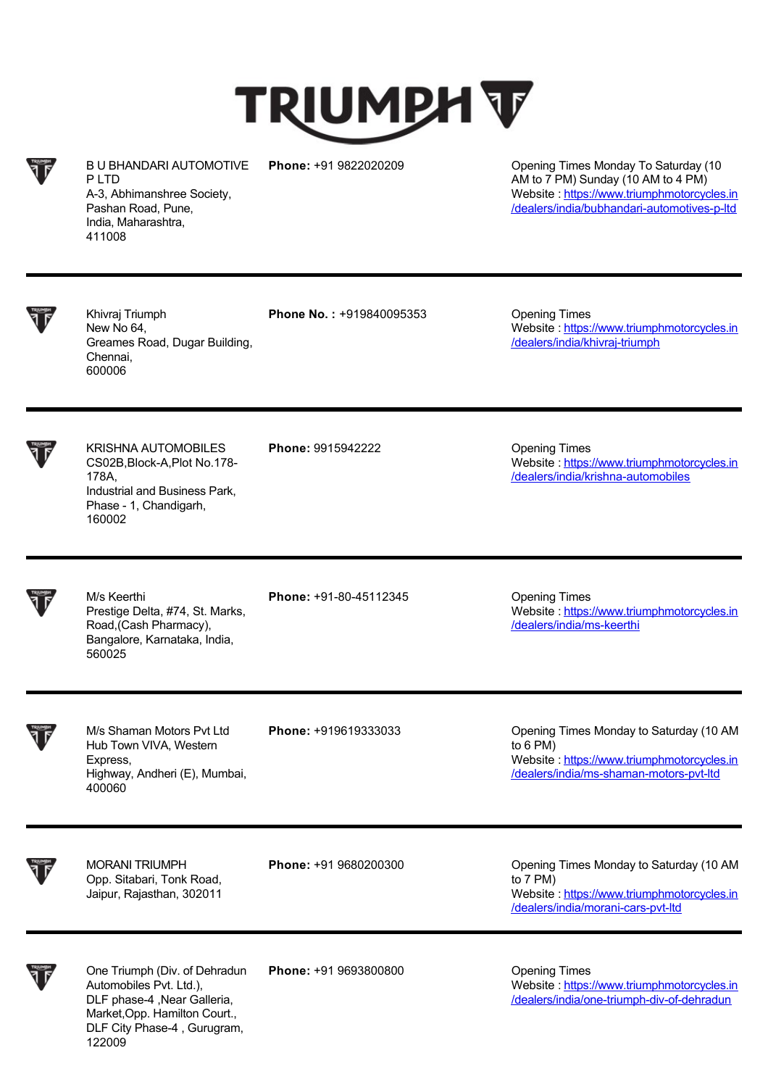## **TRIUMPH T**

B U BHANDARI AUTOMOTIVE P I TD A-3, Abhimanshree Society, Pashan Road, Pune, India, Maharashtra, 411008

**Phone:** +91 9822020209 Opening Times Monday To Saturday (10 AM to 7 PM) Sunday (10 AM to 4 PM) Website : https://www.triumphmotorcycles.in [/dealers/india/bubhandari-automotives-p-ltd](https://www.triumphmotorcycles.in/dealers/india/bubhandari-automotives-p-ltd)

Khivraj Triumph New No 64, Greames Road, Dugar Building, Chennai, 600006

**Phone No.: +919840095353 Opening Times** 

Website : [https://www.triumphmotorcycles.in](https://www.triumphmotorcycles.in/dealers/india/khivraj-triumph) /dealers/india/khivraj-triumph

KRISHNA AUTOMOBILES CS02B,Block-A,Plot No.178- 178A, Industrial and Business Park, Phase - 1, Chandigarh, 160002

**Phone:** 9915942222 Opening Times

/dealers/india/krishna-automobiles

Website : [https://www.triumphmotorcycles.in](https://www.triumphmotorcycles.in/dealers/india/krishna-automobiles)

M/s Keerthi Prestige Delta, #74, St. Marks, Road,(Cash Pharmacy), Bangalore, Karnataka, India, 560025

**Phone:** +91-80-45112345 **Opening Times** 

Website : [https://www.triumphmotorcycles.in](https://www.triumphmotorcycles.in/dealers/india/ms-keerthi) /dealers/india/ms-keerthi

M/s Shaman Motors Pvt Ltd Hub Town VIVA, Western Express, Highway, Andheri (E), Mumbai, 400060

**Phone:** +919619333033 Opening Times Monday to Saturday (10 AM to 6 PM) Website : https://www.triumphmotorcycles.in [/dealers/india/ms-shaman-motors-pvt-ltd](https://www.triumphmotorcycles.in/dealers/india/ms-shaman-motors-pvt-ltd)

MORANI TRIUMPH Opp. Sitabari, Tonk Road, Jaipur, Rajasthan, 302011

**Phone:** +91 9680200300 Opening Times Monday to Saturday (10 AM to 7 PM) Website : [https://www.triumphmotorcycles.in](https://www.triumphmotorcycles.in/dealers/india/morani-cars-pvt-ltd) /dealers/india/morani-cars-pvt-ltd

One Triumph (Div. of Dehradun Automobiles Pvt. Ltd.), DLF phase-4 ,Near Galleria, Market,Opp. Hamilton Court., DLF City Phase-4 , Gurugram, 122009

**Phone:** +91 9693800800 **Dening Times** 

Website : https://www.triumphmotorcycles.in [/dealers/india/one-triumph-div-of-dehradun](https://www.triumphmotorcycles.in/dealers/india/one-triumph-div-of-dehradun)